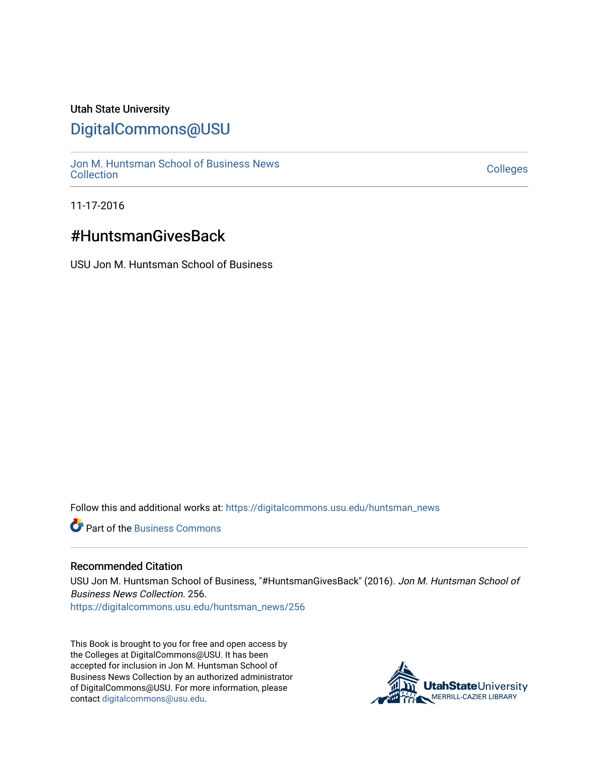## Utah State University

## [DigitalCommons@USU](https://digitalcommons.usu.edu/)

[Jon M. Huntsman School of Business News](https://digitalcommons.usu.edu/huntsman_news)  Soft M. Huntsman School of Business News<br>[Collection](https://digitalcommons.usu.edu/huntsman_news) Colleges

11-17-2016

# #HuntsmanGivesBack

USU Jon M. Huntsman School of Business

Follow this and additional works at: [https://digitalcommons.usu.edu/huntsman\\_news](https://digitalcommons.usu.edu/huntsman_news?utm_source=digitalcommons.usu.edu%2Fhuntsman_news%2F256&utm_medium=PDF&utm_campaign=PDFCoverPages) 

**C** Part of the [Business Commons](http://network.bepress.com/hgg/discipline/622?utm_source=digitalcommons.usu.edu%2Fhuntsman_news%2F256&utm_medium=PDF&utm_campaign=PDFCoverPages)

#### Recommended Citation

USU Jon M. Huntsman School of Business, "#HuntsmanGivesBack" (2016). Jon M. Huntsman School of Business News Collection. 256.

[https://digitalcommons.usu.edu/huntsman\\_news/256](https://digitalcommons.usu.edu/huntsman_news/256?utm_source=digitalcommons.usu.edu%2Fhuntsman_news%2F256&utm_medium=PDF&utm_campaign=PDFCoverPages) 

This Book is brought to you for free and open access by the Colleges at DigitalCommons@USU. It has been accepted for inclusion in Jon M. Huntsman School of Business News Collection by an authorized administrator of DigitalCommons@USU. For more information, please contact [digitalcommons@usu.edu](mailto:digitalcommons@usu.edu).